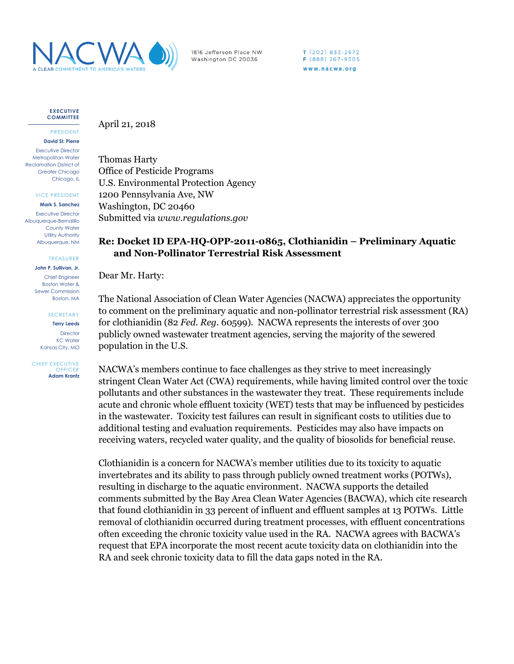

1816 Jefferson Place NW Washington DC 20036

 $T(202)833-2672$ F (888) 267-9505 www.nacwa.org

**EXECUTIVE COMMITTEE**

PRESIDENT **David St. Pierre**

Executive Director Metropolitan Water Reclamation District of Greater Chicago Chicago, IL

VICE PRESIDENT

**Mark S. Sanchez** Executive Director

Albuquerque-Bernalillo County Water Utility Authority Albuquerque, NM

TREASURER

**John P. Sullivan, Jr.** Chief Engineer Boston Water & Sewer Commission Boston, MA

**SECRETARY** 

**Terry Leeds Director** KC Water Kansas City, MO

CHIEF EXECUTIVE **OFFICER Adam Krantz**

## April 21, 2018

Thomas Harty Office of Pesticide Programs U.S. Environmental Protection Agency 1200 Pennsylvania Ave, NW Washington, DC 20460 Submitted via *www.regulations.gov*

## **Re: Docket ID EPA-HQ-OPP-2011-0865, Clothianidin – Preliminary Aquatic and Non-Pollinator Terrestrial Risk Assessment**

Dear Mr. Harty:

The National Association of Clean Water Agencies (NACWA) appreciates the opportunity to comment on the preliminary aquatic and non-pollinator terrestrial risk assessment (RA) for clothianidin (82 *Fed. Reg*. 60599). NACWA represents the interests of over 300 publicly owned wastewater treatment agencies, serving the majority of the sewered population in the U.S.

NACWA's members continue to face challenges as they strive to meet increasingly stringent Clean Water Act (CWA) requirements, while having limited control over the toxic pollutants and other substances in the wastewater they treat. These requirements include acute and chronic whole effluent toxicity (WET) tests that may be influenced by pesticides in the wastewater. Toxicity test failures can result in significant costs to utilities due to additional testing and evaluation requirements. Pesticides may also have impacts on receiving waters, recycled water quality, and the quality of biosolids for beneficial reuse.

Clothianidin is a concern for NACWA's member utilities due to its toxicity to aquatic invertebrates and its ability to pass through publicly owned treatment works (POTWs), resulting in discharge to the aquatic environment. NACWA supports the detailed comments submitted by the Bay Area Clean Water Agencies (BACWA), which cite research that found clothianidin in 33 percent of influent and effluent samples at 13 POTWs. Little removal of clothianidin occurred during treatment processes, with effluent concentrations often exceeding the chronic toxicity value used in the RA. NACWA agrees with BACWA's request that EPA incorporate the most recent acute toxicity data on clothianidin into the RA and seek chronic toxicity data to fill the data gaps noted in the RA.